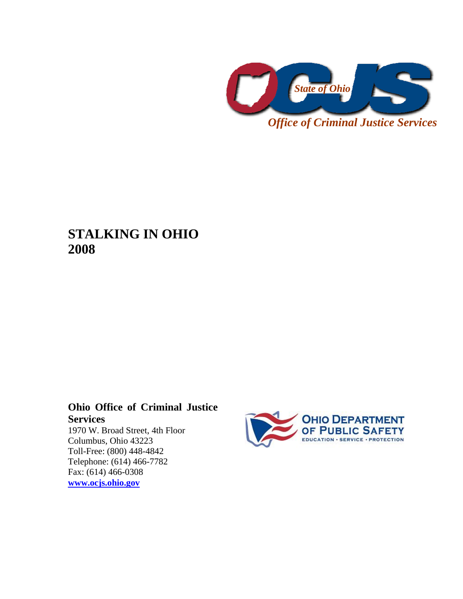

**STALKING IN OHIO 2008** 

# **Ohio Office of Criminal Justice Services**

1970 W. Broad Street, 4th Floor Columbus, Ohio 43223 Toll-Free: (800) 448-4842 Telephone: (614) 466-7782 Fax: (614) 466-0308 **[www.ocjs.ohio.gov](http://www.ocjs.ohio.gov/)**

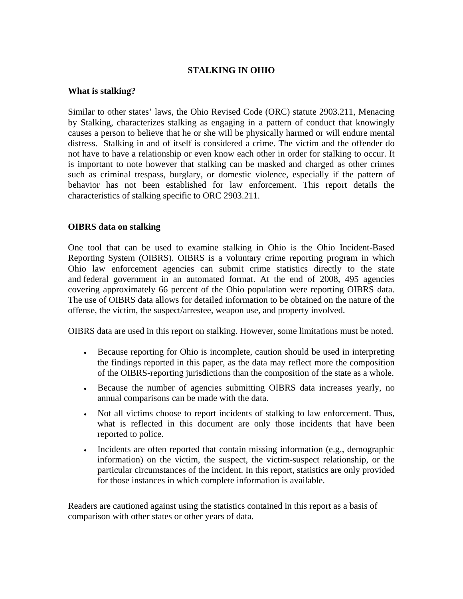#### **STALKING IN OHIO**

#### **What is stalking?**

Similar to other states' laws, the Ohio Revised Code (ORC) statute 2903.211, Menacing by Stalking, characterizes stalking as engaging in a pattern of conduct that knowingly causes a person to believe that he or she will be physically harmed or will endure mental distress. Stalking in and of itself is considered a crime. The victim and the offender do not have to have a relationship or even know each other in order for stalking to occur. It is important to note however that stalking can be masked and charged as other crimes such as criminal trespass, burglary, or domestic violence, especially if the pattern of behavior has not been established for law enforcement. This report details the characteristics of stalking specific to ORC 2903.211.

#### **OIBRS data on stalking**

One tool that can be used to examine stalking in Ohio is the Ohio Incident-Based Reporting System (OIBRS). OIBRS is a voluntary crime reporting program in which Ohio law enforcement agencies can submit crime statistics directly to the state and federal government in an automated format. At the end of 2008, 495 agencies covering approximately 66 percent of the Ohio population were reporting OIBRS data. The use of OIBRS data allows for detailed information to be obtained on the nature of the offense, the victim, the suspect/arrestee, weapon use, and property involved.

OIBRS data are used in this report on stalking. However, some limitations must be noted.

- Because reporting for Ohio is incomplete, caution should be used in interpreting the findings reported in this paper, as the data may reflect more the composition of the OIBRS-reporting jurisdictions than the composition of the state as a whole.
- Because the number of agencies submitting OIBRS data increases yearly, no annual comparisons can be made with the data.
- Not all victims choose to report incidents of stalking to law enforcement. Thus, what is reflected in this document are only those incidents that have been reported to police.
- Incidents are often reported that contain missing information (e.g., demographic information) on the victim, the suspect, the victim-suspect relationship, or the particular circumstances of the incident. In this report, statistics are only provided for those instances in which complete information is available.

Readers are cautioned against using the statistics contained in this report as a basis of comparison with other states or other years of data.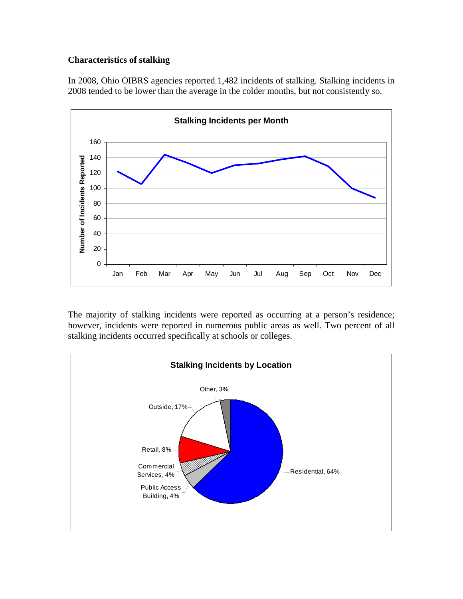#### **Characteristics of stalking**

In 2008, Ohio OIBRS agencies reported 1,482 incidents of stalking. Stalking incidents in 2008 tended to be lower than the average in the colder months, but not consistently so.



The majority of stalking incidents were reported as occurring at a person's residence; however, incidents were reported in numerous public areas as well. Two percent of all stalking incidents occurred specifically at schools or colleges.

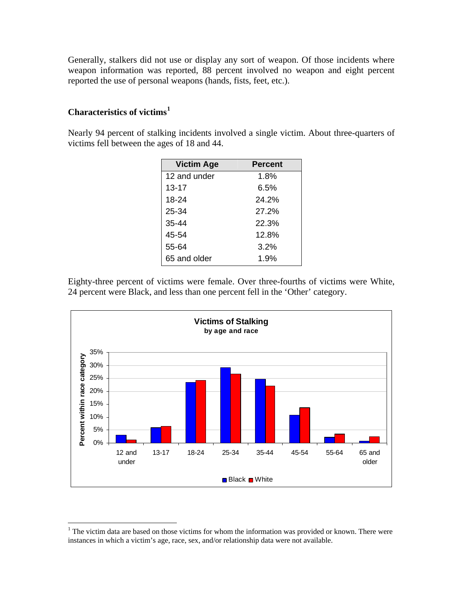Generally, stalkers did not use or display any sort of weapon. Of those incidents where weapon information was reported, 88 percent involved no weapon and eight percent reported the use of personal weapons (hands, fists, feet, etc.).

### **Characteristics of victims[1](#page-3-0)**

1

Nearly 94 percent of stalking incidents involved a single victim. About three-quarters of victims fell between the ages of 18 and 44.

| <b>Victim Age</b> | <b>Percent</b> |
|-------------------|----------------|
| 12 and under      | 1.8%           |
| $13 - 17$         | 6.5%           |
| 18-24             | 24.2%          |
| 25-34             | 27.2%          |
| 35-44             | 22.3%          |
| 45-54             | 12.8%          |
| 55-64             | 3.2%           |
| 65 and older      | 1.9%           |

Eighty-three percent of victims were female. Over three-fourths of victims were White, 24 percent were Black, and less than one percent fell in the 'Other' category.



<span id="page-3-0"></span> $1$ <sup>1</sup> The victim data are based on those victims for whom the information was provided or known. There were instances in which a victim's age, race, sex, and/or relationship data were not available.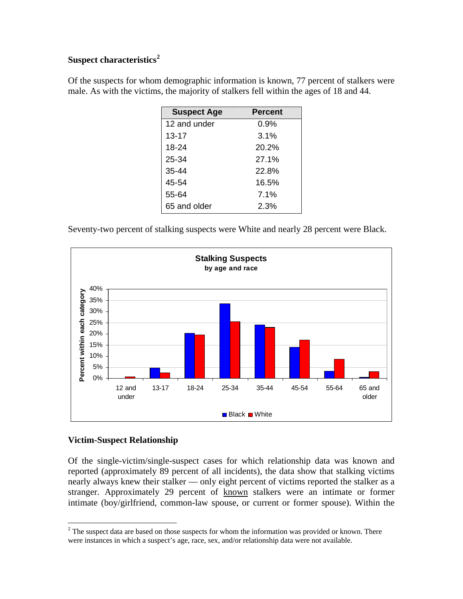## **Suspect characteristics[2](#page-4-0)**

Of the suspects for whom demographic information is known, 77 percent of stalkers were male. As with the victims, the majority of stalkers fell within the ages of 18 and 44.

| <b>Suspect Age</b> | <b>Percent</b> |
|--------------------|----------------|
| 12 and under       | $0.9\%$        |
| $13 - 17$          | 3.1%           |
| 18-24              | 20.2%          |
| 25-34              | 27.1%          |
| $35 - 44$          | 22.8%          |
| 45-54              | 16.5%          |
| 55-64              | 7.1%           |
| 65 and older       | 2.3%           |

Seventy-two percent of stalking suspects were White and nearly 28 percent were Black.



#### **Victim-Suspect Relationship**

 $\overline{a}$ 

Of the single-victim/single-suspect cases for which relationship data was known and reported (approximately 89 percent of all incidents), the data show that stalking victims nearly always knew their stalker — only eight percent of victims reported the stalker as a stranger. Approximately 29 percent of known stalkers were an intimate or former intimate (boy/girlfriend, common-law spouse, or current or former spouse). Within the

<span id="page-4-0"></span> $2<sup>2</sup>$  The suspect data are based on those suspects for whom the information was provided or known. There were instances in which a suspect's age, race, sex, and/or relationship data were not available.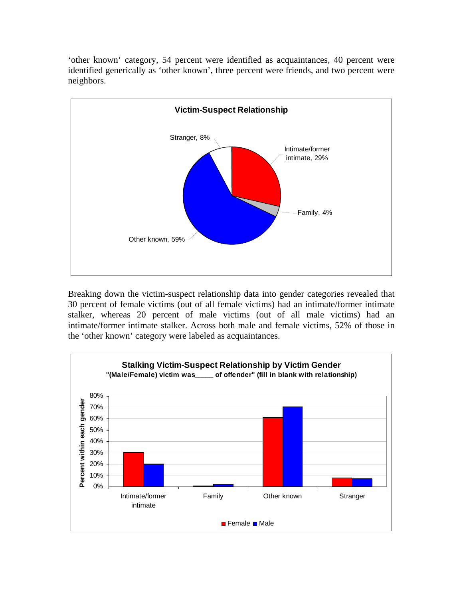'other known' category, 54 percent were identified as acquaintances, 40 percent were identified generically as 'other known', three percent were friends, and two percent were neighbors.



Breaking down the victim-suspect relationship data into gender categories revealed that 30 percent of female victims (out of all female victims) had an intimate/former intimate stalker, whereas 20 percent of male victims (out of all male victims) had an intimate/former intimate stalker. Across both male and female victims, 52% of those in the 'other known' category were labeled as acquaintances.